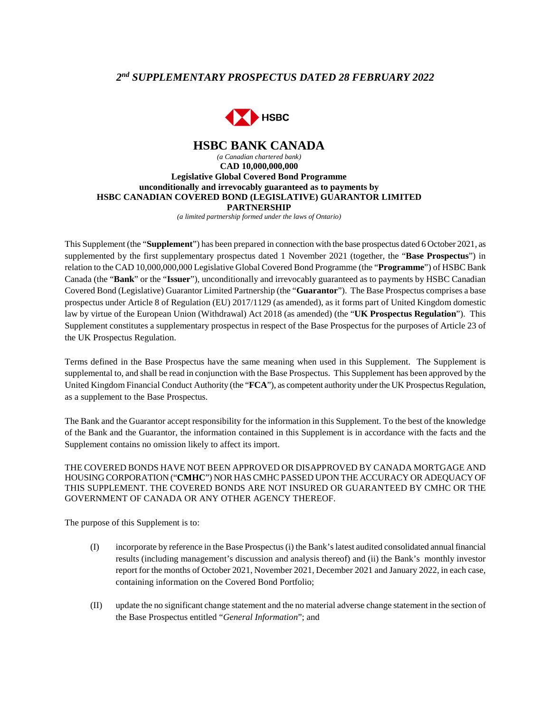# *2 nd SUPPLEMENTARY PROSPECTUS DATED 28 FEBRUARY 2022*



## **HSBC BANK CANADA**  *(a Canadian chartered bank)*  **CAD 10,000,000,000 Legislative Global Covered Bond Programme unconditionally and irrevocably guaranteed as to payments by HSBC CANADIAN COVERED BOND (LEGISLATIVE) GUARANTOR LIMITED PARTNERSHIP**

*(a limited partnership formed under the laws of Ontario)*

This Supplement (the "**Supplement**") has been prepared in connection with the base prospectus dated 6 October 2021, as supplemented by the first supplementary prospectus dated 1 November 2021 (together, the "**Base Prospectus**") in relation to the CAD 10,000,000,000 Legislative Global Covered Bond Programme (the "**Programme**") of HSBC Bank Canada (the "**Bank**" or the "**Issuer**"), unconditionally and irrevocably guaranteed as to payments by HSBC Canadian Covered Bond (Legislative) Guarantor Limited Partnership (the "**Guarantor**"). The Base Prospectus comprises a base prospectus under Article 8 of Regulation (EU) 2017/1129 (as amended), as it forms part of United Kingdom domestic law by virtue of the European Union (Withdrawal) Act 2018 (as amended) (the "**UK Prospectus Regulation**"). This Supplement constitutes a supplementary prospectus in respect of the Base Prospectus for the purposes of Article 23 of the UK Prospectus Regulation.

Terms defined in the Base Prospectus have the same meaning when used in this Supplement. The Supplement is supplemental to, and shall be read in conjunction with the Base Prospectus. This Supplement has been approved by the United Kingdom Financial Conduct Authority (the "**FCA**"), as competent authority under the UK Prospectus Regulation, as a supplement to the Base Prospectus.

The Bank and the Guarantor accept responsibility for the information in this Supplement. To the best of the knowledge of the Bank and the Guarantor, the information contained in this Supplement is in accordance with the facts and the Supplement contains no omission likely to affect its import.

THE COVERED BONDS HAVE NOT BEEN APPROVED OR DISAPPROVED BY CANADA MORTGAGE AND HOUSING CORPORATION ("**CMHC**") NOR HAS CMHC PASSED UPON THE ACCURACY OR ADEQUACY OF THIS SUPPLEMENT. THE COVERED BONDS ARE NOT INSURED OR GUARANTEED BY CMHC OR THE GOVERNMENT OF CANADA OR ANY OTHER AGENCY THEREOF.

The purpose of this Supplement is to:

- (I) incorporate by reference in the Base Prospectus (i) the Bank's latest audited consolidated annual financial results (including management's discussion and analysis thereof) and (ii) the Bank's monthly investor report for the months of October 2021, November 2021, December 2021 and January 2022, in each case, containing information on the Covered Bond Portfolio;
- (II) update the no significant change statement and the no material adverse change statement in the section of the Base Prospectus entitled "*General Information*"; and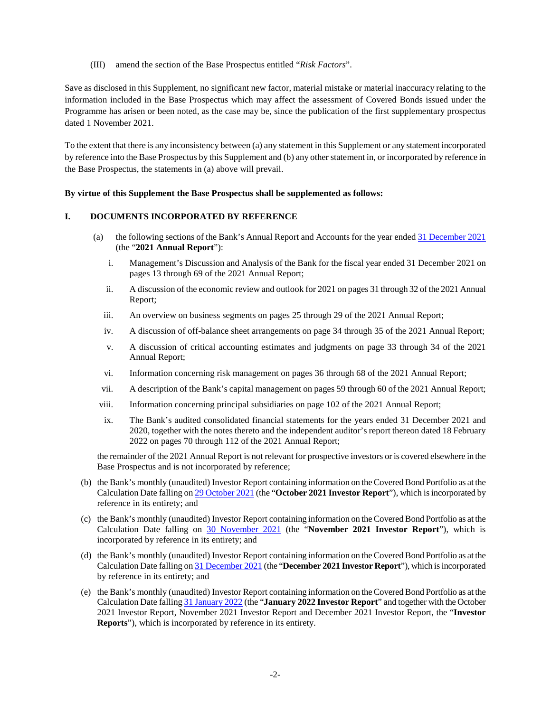(III) amend the section of the Base Prospectus entitled "*Risk Factors*".

Save as disclosed in this Supplement, no significant new factor, material mistake or material inaccuracy relating to the information included in the Base Prospectus which may affect the assessment of Covered Bonds issued under the Programme has arisen or been noted, as the case may be, since the publication of the first supplementary prospectus dated 1 November 2021.

To the extent that there is any inconsistency between (a) any statement in this Supplement or any statement incorporated by reference into the Base Prospectus by this Supplement and (b) any other statement in, or incorporated by reference in the Base Prospectus, the statements in (a) above will prevail.

### **By virtue of this Supplement the Base Prospectus shall be supplemented as follows:**

### **I. DOCUMENTS INCORPORATED BY REFERENCE**

- (a) the following sections of the Bank's Annual Report and Accounts for the year ended [31 December 2021](https://www.hsbc.com/-/files/hsbc/investors/hsbc-results/2021/annual/pdfs/hsbc-bank-canada/220225-hsbc-bank-canada-ara-2021-en.pdf) (the "**2021 Annual Report**"):
	- i. Management's Discussion and Analysis of the Bank for the fiscal year ended 31 December 2021 on pages 13 through 69 of the 2021 Annual Report;
	- ii. A discussion of the economic review and outlook for 2021 on pages 31 through 32 of the 2021 Annual Report;
	- iii. An overview on business segments on pages 25 through 29 of the 2021 Annual Report;
	- iv. A discussion of off-balance sheet arrangements on page 34 through 35 of the 2021 Annual Report;
	- v. A discussion of critical accounting estimates and judgments on page 33 through 34 of the 2021 Annual Report;
	- vi. Information concerning risk management on pages 36 through 68 of the 2021 Annual Report;
	- vii. A description of the Bank's capital management on pages 59 through 60 of the 2021 Annual Report;
	- viii. Information concerning principal subsidiaries on page 102 of the 2021 Annual Report;
	- ix. The Bank's audited consolidated financial statements for the years ended 31 December 2021 and 2020, together with the notes thereto and the independent auditor's report thereon dated 18 February 2022 on pages 70 through 112 of the 2021 Annual Report;

the remainder of the 2021 Annual Report is not relevant for prospective investors or is covered elsewhere in the Base Prospectus and is not incorporated by reference;

- (b) the Bank's monthly (unaudited) Investor Report containing information on the Covered Bond Portfolio as at the Calculation Date falling on 29 October 2021 (the "**October 2021 Investor Report**"), which is incorporated by reference in its entirety; and
- (c) the Bank's monthly (unaudited) Investor Report containing information on the Covered Bond Portfolio as at the Calculation Date falling on [30 November 2021](https://www.about.hsbc.ca/-/media/canada/en/hsbc-in-canada/legislative-covered-bond-programme/monthly-investor-reports/211218-monthly-investor-report-legislative-nov-pdf.pdf) (the "**November 2021 Investor Report**"), which is incorporated by reference in its entirety; and
- (d) the Bank's monthly (unaudited) Investor Report containing information on the Covered Bond Portfolio as at the Calculation Date falling on 31 December 2021 (the "**December 2021 Investor Report**"), which is incorporated by reference in its entirety; and
- (e) the Bank's monthly (unaudited) Investor Report containing information on the Covered Bond Portfolio as at the Calculation Date falling 31 January 2022 (the "**January 2022 Investor Report**" and together with the October 2021 Investor Report, November 2021 Investor Report and December 2021 Investor Report, the "**Investor Reports**"), which is incorporated by reference in its entirety.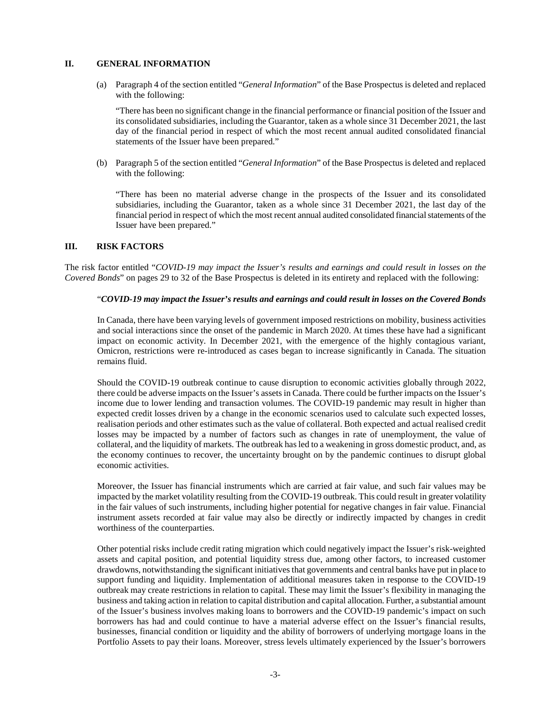### **II. GENERAL INFORMATION**

(a) Paragraph 4 of the section entitled "*General Information*" of the Base Prospectus is deleted and replaced with the following:

"There has been no significant change in the financial performance or financial position of the Issuer and its consolidated subsidiaries, including the Guarantor, taken as a whole since 31 December 2021, the last day of the financial period in respect of which the most recent annual audited consolidated financial statements of the Issuer have been prepared."

(b) Paragraph 5 of the section entitled "*General Information*" of the Base Prospectus is deleted and replaced with the following:

"There has been no material adverse change in the prospects of the Issuer and its consolidated subsidiaries, including the Guarantor, taken as a whole since 31 December 2021, the last day of the financial period in respect of which the most recent annual audited consolidated financial statements of the Issuer have been prepared."

### **III. RISK FACTORS**

The risk factor entitled "*COVID-19 may impact the Issuer's results and earnings and could result in losses on the Covered Bonds*" on pages 29 to 32 of the Base Prospectus is deleted in its entirety and replaced with the following:

### "*COVID-19 may impact the Issuer's results and earnings and could result in losses on the Covered Bonds*

In Canada, there have been varying levels of government imposed restrictions on mobility, business activities and social interactions since the onset of the pandemic in March 2020. At times these have had a significant impact on economic activity. In December 2021, with the emergence of the highly contagious variant, Omicron, restrictions were re-introduced as cases began to increase significantly in Canada. The situation remains fluid.

Should the COVID-19 outbreak continue to cause disruption to economic activities globally through 2022, there could be adverse impacts on the Issuer's assets in Canada. There could be further impacts on the Issuer's income due to lower lending and transaction volumes. The COVID-19 pandemic may result in higher than expected credit losses driven by a change in the economic scenarios used to calculate such expected losses, realisation periods and other estimates such as the value of collateral. Both expected and actual realised credit losses may be impacted by a number of factors such as changes in rate of unemployment, the value of collateral, and the liquidity of markets. The outbreak has led to a weakening in gross domestic product, and, as the economy continues to recover, the uncertainty brought on by the pandemic continues to disrupt global economic activities.

Moreover, the Issuer has financial instruments which are carried at fair value, and such fair values may be impacted by the market volatility resulting from the COVID-19 outbreak. This could result in greater volatility in the fair values of such instruments, including higher potential for negative changes in fair value. Financial instrument assets recorded at fair value may also be directly or indirectly impacted by changes in credit worthiness of the counterparties.

Other potential risks include credit rating migration which could negatively impact the Issuer's risk-weighted assets and capital position, and potential liquidity stress due, among other factors, to increased customer drawdowns, notwithstanding the significant initiatives that governments and central banks have put in place to support funding and liquidity. Implementation of additional measures taken in response to the COVID-19 outbreak may create restrictions in relation to capital. These may limit the Issuer's flexibility in managing the business and taking action in relation to capital distribution and capital allocation. Further, a substantial amount of the Issuer's business involves making loans to borrowers and the COVID-19 pandemic's impact on such borrowers has had and could continue to have a material adverse effect on the Issuer's financial results, businesses, financial condition or liquidity and the ability of borrowers of underlying mortgage loans in the Portfolio Assets to pay their loans. Moreover, stress levels ultimately experienced by the Issuer's borrowers